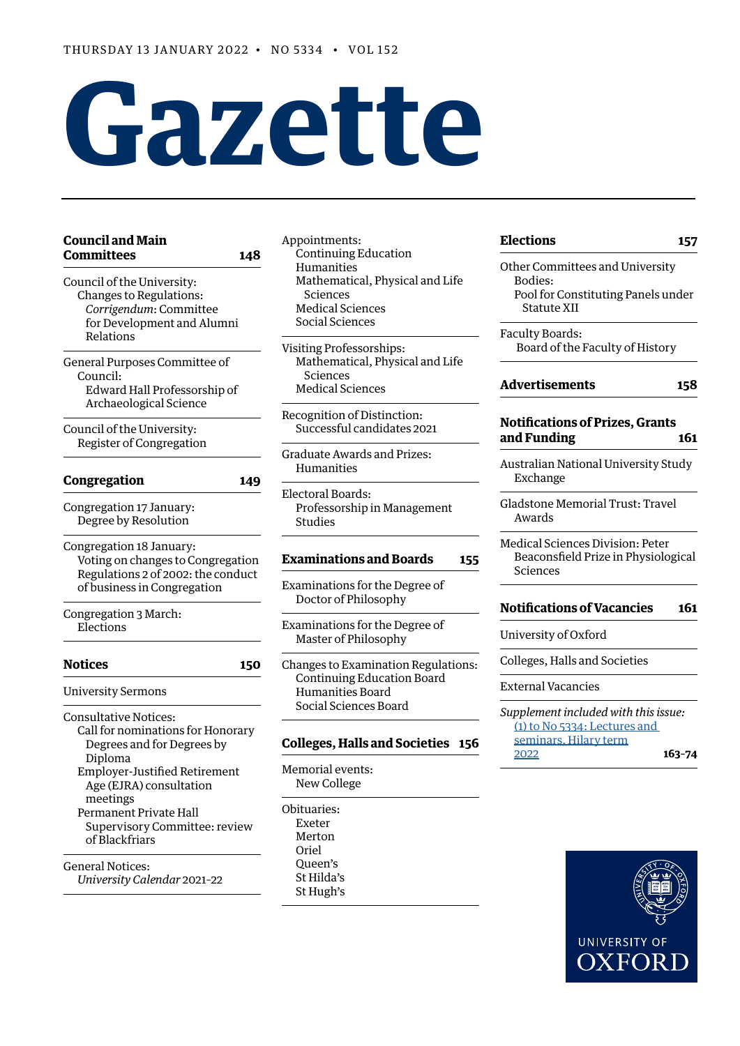# **Gazette**

# **[Council and Main](#page-1-0)  [Committees 148](#page-1-0)**

- [Council of the University:](#page-1-0) [Changes to Regulations:](#page-1-0) *[Corrigendum](#page-1-0)*: Committee [for Development and Alumni](#page-1-0) [Relations](#page-1-0)
- [General Purposes Committee of](#page-1-0)  [Council](#page-1-0): [Edward Hall Professorship of](#page-1-0) [Archaeological Science](#page-1-0)
- [Council of the University:](#page-2-0) [Register of Congregation](#page-2-0)

# **[Congregation](#page-2-0) 149**

[Congregation 17 January:](#page-2-0) [Degree by Resolution](#page-2-0)

[Congregation 18 January:](#page-2-0) [Voting on changes to Congregation](#page-2-0)  [Regulations 2 of 2002: the conduct](#page-2-0)  [of business in Congregation](#page-2-0)

[Congregation 3 March:](#page-2-0) [Elections](#page-2-0)

# **[Notices](#page-3-0) 150**

[University Sermons](#page-3-0)

[Consultative Notices:](#page-3-0) [Call for nominations for Honorary](#page-3-0) [Degrees and for Degrees by](#page-3-0) [Diploma](#page-3-0) [Employer-Justified Retirement](#page-3-0) [Age \(EJRA\) consultation](#page-3-0) [meetings](#page-3-0) [Permanent Private Hall](#page-4-0) [Supervisory Committee:](#page-4-0) review of Blackfriars [General Notices:](#page-4-0)

*[University Calendar](#page-4-0)* 2021–22

- [Appointments](#page-4-0): [Continuing Education](#page-4-0) [Humanities](#page-4-0) [Mathematical, Physical and Life](#page-4-0) [Sciences](#page-4-0) [Medical Sciences](#page-4-0) [Social Sciences](#page-5-0)
- [Visiting Professorships:](#page-5-0) [Mathematical, Physical and Life](#page-5-0) [Sciences](#page-5-0) [Medical Sciences](#page-5-0)
- [Recognition of Distinction:](#page-5-0) [Successful candidates 2021](#page-5-0)
- [Graduate Awards and Prizes](#page-7-0): [Humanities](#page-7-0)
- [Electoral Boards:](#page-7-0) [Professorship in Management](#page-7-0)  [Studies](#page-7-0)

# **[Examinations and Boards](#page-8-0) 155**

- [Examinations for the Degree of](#page-8-0)  [Doctor of Philosophy](#page-8-0)
- [Examinations for the Degree of](#page-8-0)  [Master of Philosophy](#page-8-0)
- [Changes to Examination Regulations:](#page-9-0) [Continuing Education Board](#page-9-0) [Humanities Board](#page-9-0) [Social Sciences Board](#page-9-0)

# **[Colleges, Halls and Societies](#page-9-0) 156**

- [Memorial events:](#page-9-0) [New College](#page-9-0)
- [Obituaries:](#page-9-0)
- [Exeter](#page-9-0) [Merton](#page-9-0) [Oriel](#page-9-0) [Queen's](#page-9-0) [St Hilda's](#page-9-0) [St Hugh's](#page-9-0)

# **[Elections](#page-10-0) 157**

[Other Committees and University](#page-10-0)  [Bodies:](#page-10-0) [Pool for Constituting Panels under](#page-10-0) [Statute XII](#page-10-0)

[Faculty Boards:](#page-10-0) [Board of the Faculty of History](#page-10-0)

# **[Advertisements](#page-11-0) 158**

# **[Notifications of Prizes, Grants](#page-14-0)  [and Funding](#page-14-0) 161**

[Australian National University Study](#page-14-0)  [Exchange](#page-14-0)

[Gladstone Memorial Trust: Travel](#page-14-0)  [Awards](#page-14-0)

[Medical Sciences Division: Peter](#page-14-0)  [Beaconsfield Prize in Physiological](#page-14-0)  [Sciences](#page-14-0)

# **[Notifications of Vacancies](#page-14-0) 161**

[University of Oxford](#page-14-0)

[Colleges, Halls and Societies](#page-15-0)

[External Vacancies](#page-15-0)

*Supplement included with this issue:* [\(1\) to No 5334: Lectures and](https://gazette.web.ox.ac.uk/sites/default/files/gazette/documents/media/lectures_and_seminars_hilary_term_2022_-_1_to_no_5334.pdf)  [seminars, Hilary term](https://gazette.web.ox.ac.uk/sites/default/files/gazette/documents/media/lectures_and_seminars_hilary_term_2022_-_1_to_no_5334.pdf) [2022](https://gazette.web.ox.ac.uk/sites/default/files/gazette/documents/media/lectures_and_seminars_hilary_term_2022_-_1_to_no_5334.pdf) **163–74**

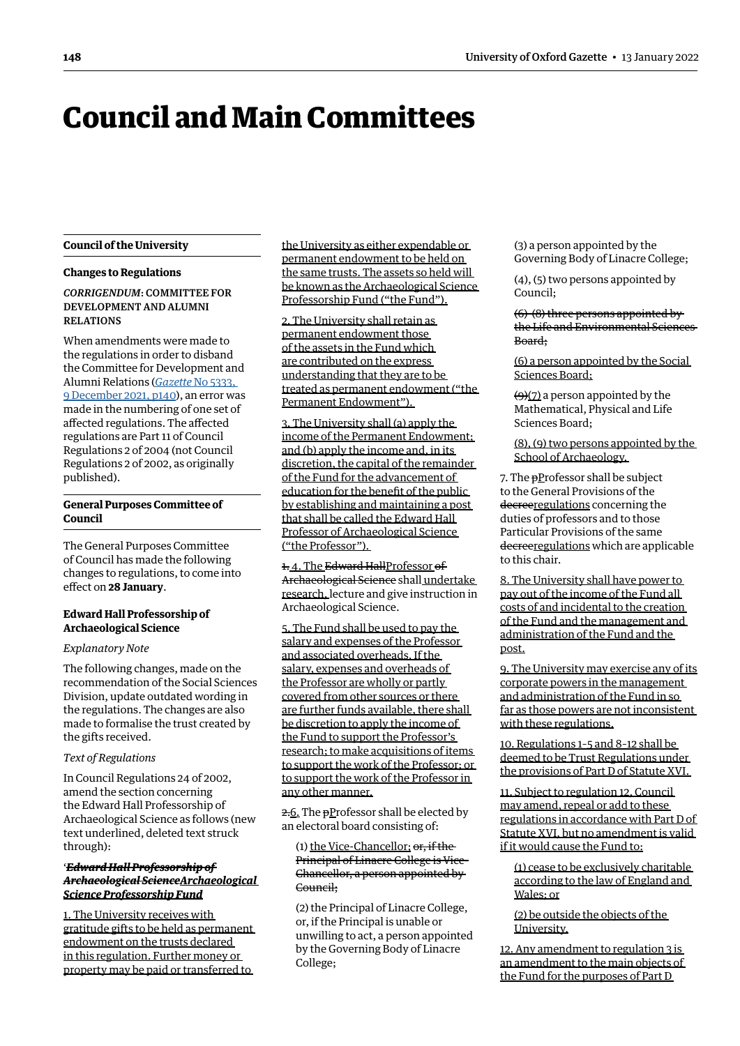# <span id="page-1-0"></span>Council and Main Committees

# **Council of the University**

# **Changes to Regulations**

*CORRIGENDUM*: COMMITTEE FOR DEVELOPMENT AND ALUMNI RELATIONS

When amendments were made to the regulations in order to disband the Committee for Development and Alumni Relations (*Gazette* [No 5333,](https://gazette.web.ox.ac.uk/sites/default/files/gazette/documents/media/9_december_2021_-_no_5333_redacted.pdf#page=2)  [9 December 2021, p140\)](https://gazette.web.ox.ac.uk/sites/default/files/gazette/documents/media/9_december_2021_-_no_5333_redacted.pdf#page=2), an error was made in the numbering of one set of affected regulations. The affected regulations are Part 11 of Council Regulations 2 of 2004 (not Council Regulations 2 of 2002, as originally published).

# **General Purposes Committee of Council**

The General Purposes Committee of Council has made the following changes to regulations, to come into effect on **28 January**.

# **Edward Hall Professorship of Archaeological Science**

# *Explanatory Note*

The following changes, made on the recommendation of the Social Sciences Division, update outdated wording in the regulations. The changes are also made to formalise the trust created by the gifts received.

#### *Text of Regulations*

In Council Regulations 24 of 2002, amend the section concerning the Edward Hall Professorship of Archaeological Science as follows (new text underlined, deleted text struck through):

# '*Edward Hall Professorship of Archaeological ScienceArchaeological Science Professorship Fund*

1. The University receives with gratitude gifts to be held as permanent endowment on the trusts declared in this regulation. Further money or property may be paid or transferred to

the University as either expendable or permanent endowment to be held on the same trusts. The assets so held will be known as the Archaeological Science Professorship Fund ("the Fund").

2. The University shall retain as permanent endowment those of the assets in the Fund which are contributed on the express understanding that they are to be treated as permanent endowment ("the Permanent Endowment").

3. The University shall (a) apply the income of the Permanent Endowment; and (b) apply the income and, in its discretion, the capital of the remainder of the Fund for the advancement of education for the benefit of the public by establishing and maintaining a post that shall be called the Edward Hall Professor of Archaeological Science ("the Professor").

1.4. The Edward HallProfessor of Archaeological Science shall undertake research, lecture and give instruction in Archaeological Science.

5. The Fund shall be used to pay the salary and expenses of the Professor and associated overheads. If the salary, expenses and overheads of the Professor are wholly or partly covered from other sources or there are further funds available, there shall be discretion to apply the income of the Fund to support the Professor's research; to make acquisitions of items to support the work of the Professor; or to support the work of the Professor in any other manner.

2.6. The <del>p</del>Professor shall be elected by an electoral board consisting of:

# (1) the Vice-Chancellor; or, if the Principal of Linacre College is Vice-Chancellor, a person appointed by Council;

(2) the Principal of Linacre College, or, if the Principal is unable or unwilling to act, a person appointed by the Governing Body of Linacre College;

(3) a person appointed by the Governing Body of Linacre College;

(4), (5) two persons appointed by Council;

(6)-(8) three persons appointed by the Life and Environmental Sciences Board;

(6) a person appointed by the Social Sciences Board;

 $\left(\frac{1}{2}\right)$  a person appointed by the Mathematical, Physical and Life Sciences Board;

(8), (9) two persons appointed by the School of Archaeology.

7. The **pProfessor shall be subject** to the General Provisions of the decreeregulations concerning the duties of professors and to those Particular Provisions of the same decreeregulations which are applicable to this chair.

8. The University shall have power to pay out of the income of the Fund all costs of and incidental to the creation of the Fund and the management and administration of the Fund and the post.

9. The University may exercise any of its corporate powers in the management and administration of the Fund in so far as those powers are not inconsistent with these regulations.

10. Regulations 1–5 and 8–12 shall be deemed to be Trust Regulations under the provisions of Part D of Statute XVI.

11. Subject to regulation 12, Council may amend, repeal or add to these regulations in accordance with Part D of Statute XVI, but no amendment is valid if it would cause the Fund to:

(1) cease to be exclusively charitable according to the law of England and Wales; or

(2) be outside the objects of the University.

12. Any amendment to regulation 3 is an amendment to the main objects of the Fund for the purposes of Part D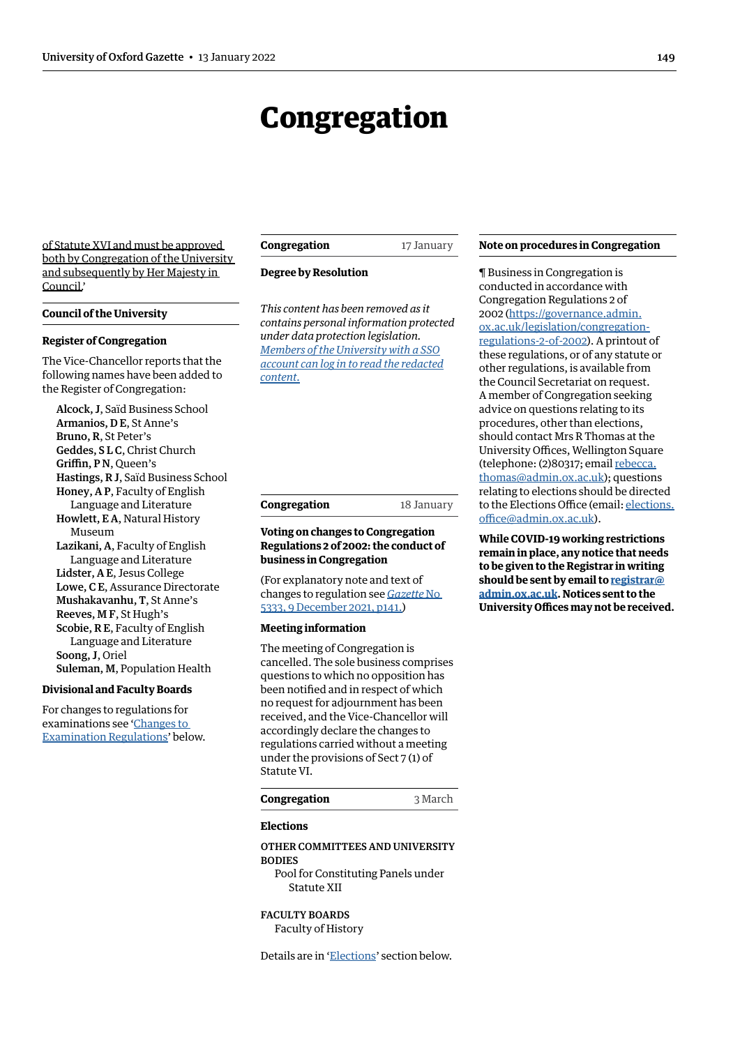# Congregation

<span id="page-2-0"></span>of Statute XVI and must be approved both by Congregation of the University and subsequently by Her Majesty in Council.'

#### **Council of the University**

#### **Register of Congregation**

The Vice-Chancellor reports that the following names have been added to the Register of Congregation:

Alcock, J, Saïd Business School Armanios, D E, St Anne's Bruno, R, St Peter's Geddes, S L C, Christ Church Griffin, P N, Queen's Hastings, R J, Saïd Business School Honey, A P, Faculty of English Language and Literature Howlett, E A, Natural History Museum Lazikani, A, Faculty of English Language and Literature Lidster, A E, Jesus College Lowe, C E, Assurance Directorate Mushakavanhu, T, St Anne's Reeves, M F, St Hugh's Scobie, R E, Faculty of English Language and Literature Soong, J, Oriel Suleman, M, Population Health

# **Divisional and Faculty Boards**

For changes to regulations for examinations see '[Changes to](#page-9-1)  [Examination Regulations](#page-9-1)' below.

**Congregation** 17 January

#### **Degree by Resolution**

*This content has been removed as it contains personal information protected under data protection legislation. Members of the University with a SSO [account can log in to read the redacted](https://unioxfordnexus.sharepoint.com/sites/PublicAffairsDirectorate-Gazette/Online%20Gazette%20Issues/Gazette%202021-22/13%20January%202022%20-%20No%205334.pdf#page=3)  content.*

# **Congregation** 18 January

# **Voting on changes to Congregation Regulations 2 of 2002: the conduct of business in Congregation**

(For explanatory note and text of changes to regulation see *[Gazette](https://gazette.web.ox.ac.uk/sites/default/files/gazette/documents/media/9_december_2021_-_no_5333_redacted.pdf#page=3)* No [5333, 9 December 2021, p141.\)](https://gazette.web.ox.ac.uk/sites/default/files/gazette/documents/media/9_december_2021_-_no_5333_redacted.pdf#page=3)

#### **Meeting information**

The meeting of Congregation is cancelled. The sole business comprises questions to which no opposition has been notified and in respect of which no request for adjournment has been received, and the Vice-Chancellor will accordingly declare the changes to regulations carried without a meeting under the provisions of Sect 7 (1) of Statute VI.

#### **Congregation** 3 March

# **Elections**

# OTHER COMMITTEES AND UNIVERSITY BODIES

Pool for Constituting Panels under Statute XII

# FACULTY BOARDS Faculty of History

Details are in ['Elections'](#page-10-1) section below.

#### **Note on procedures in Congregation**

¶ Business in Congregation is conducted in accordance with Congregation Regulations 2 of 2002 ([https://governance.admin.](https://governance.admin.ox.ac.uk/legislation/congregation-regulations-2-of-2002) [ox.ac.uk/legislation/congregation](https://governance.admin.ox.ac.uk/legislation/congregation-regulations-2-of-2002)[regulations-2-of-2002](https://governance.admin.ox.ac.uk/legislation/congregation-regulations-2-of-2002)). A printout of these regulations, or of any statute or other regulations, is available from the Council Secretariat on request. A member of Congregation seeking advice on questions relating to its procedures, other than elections, should contact Mrs R Thomas at the University Offices, Wellington Square (telephone: (2)80317; email [rebecca.](mailto:rebecca.thomas@admin.ox.ac.uk) [thomas@admin.ox.ac.uk](mailto:rebecca.thomas@admin.ox.ac.uk)); questions relating to elections should be directed to the Elections Office (email: [elections.](mailto:elections.office@admin.ox.ac.uk) [office@admin.ox.ac.uk](mailto:elections.office@admin.ox.ac.uk)).

**While COVID-19 working restrictions remain in place, any notice that needs to be given to the Registrar in writing should be sent by email to [registrar@](mailto:registrar%40admin.ox.ac.uk?subject=) [admin.ox.ac.uk.](mailto:registrar%40admin.ox.ac.uk?subject=) Notices sent to the University Offices may not be received.**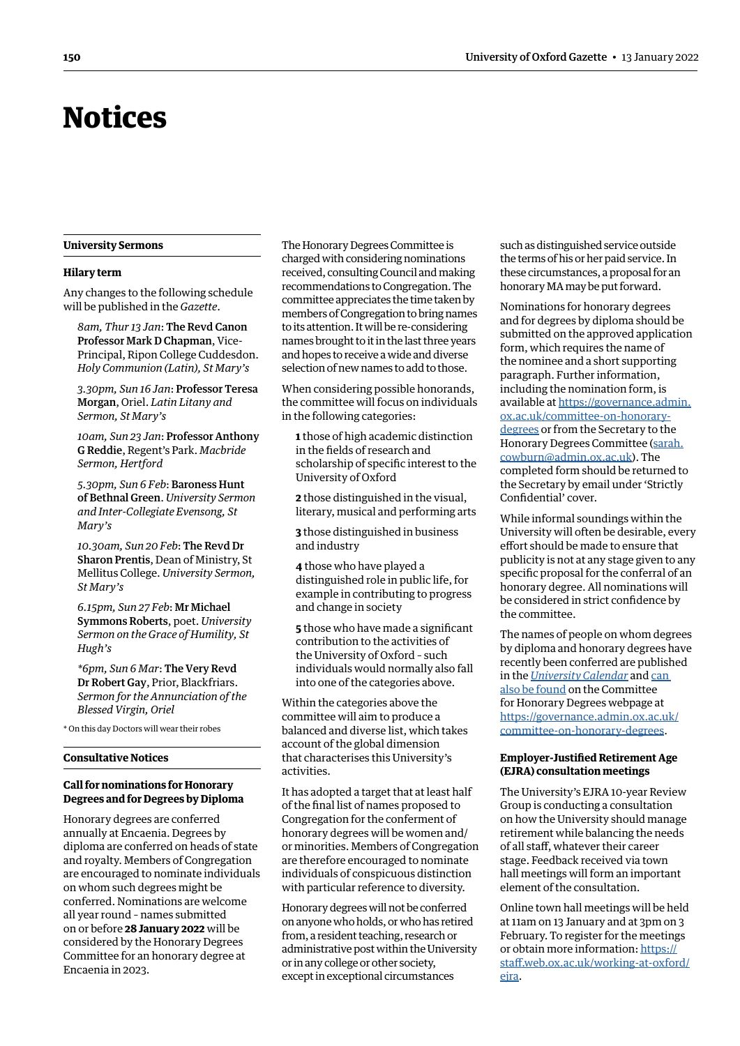# <span id="page-3-0"></span>Notices

# **University Sermons**

#### **Hilary term**

Any changes to the following schedule will be published in the *Gazette*.

*8am, Thur 13 Jan*: The Revd Canon Professor Mark D Chapman, Vice-Principal, Ripon College Cuddesdon. *Holy Communion (Latin), St Mary's*

*3.30pm, Sun 16 Jan*: Professor Teresa Morgan, Oriel. *Latin Litany and Sermon, St Mary's*

*10am, Sun 23 Jan*: Professor Anthony G Reddie, Regent's Park. *Macbride Sermon, Hertford*

*5.30pm, Sun 6 Feb*: Baroness Hunt of Bethnal Green. *University Sermon and Inter-Collegiate Evensong, St Mary's*

*10.30am, Sun 20 Feb*: The Revd Dr Sharon Prentis, Dean of Ministry, St Mellitus College. *University Sermon, St Mary's*

*6.15pm, Sun 27 Feb*: Mr Michael Symmons Roberts, poet. *University Sermon on the Grace of Humility, St Hugh's*

*\*6pm, Sun 6 Mar*: The Very Revd Dr Robert Gay, Prior, Blackfriars. *Sermon for the Annunciation of the Blessed Virgin, Oriel*

\* On this day Doctors will wear their robes

# **Consultative Notices**

# **Call for nominations for Honorary Degrees and for Degrees by Diploma**

Honorary degrees are conferred annually at Encaenia. Degrees by diploma are conferred on heads of state and royalty. Members of Congregation are encouraged to nominate individuals on whom such degrees might be conferred. Nominations are welcome all year round – names submitted on or before **28 January 2022** will be considered by the Honorary Degrees Committee for an honorary degree at Encaenia in 2023.

The Honorary Degrees Committee is charged with considering nominations received, consulting Council and making recommendations to Congregation. The committee appreciates the time taken by members of Congregation to bring names to its attention. It will be re-considering names brought to it in the last three years and hopes to receive a wide and diverse selection of new names to add to those.

When considering possible honorands, the committee will focus on individuals in the following categories:

**1** those of high academic distinction in the fields of research and scholarship of specific interest to the University of Oxford

**2** those distinguished in the visual, literary, musical and performing arts

**3** those distinguished in business and industry

**4** those who have played a distinguished role in public life, for example in contributing to progress and change in society

**5** those who have made a significant contribution to the activities of the University of Oxford – such individuals would normally also fall into one of the categories above.

Within the categories above the committee will aim to produce a balanced and diverse list, which takes account of the global dimension that characterises this University's activities.

It has adopted a target that at least half of the final list of names proposed to Congregation for the conferment of honorary degrees will be women and/ or minorities. Members of Congregation are therefore encouraged to nominate individuals of conspicuous distinction with particular reference to diversity.

Honorary degrees will not be conferred on anyone who holds, or who has retired from, a resident teaching, research or administrative post within the University or in any college or other society, except in exceptional circumstances

such as distinguished service outside the terms of his or her paid service. In these circumstances, a proposal for an honorary MA may be put forward.

Nominations for honorary degrees and for degrees by diploma should be submitted on the approved application form, which requires the name of the nominee and a short supporting paragraph. Further information, including the nomination form, is available at [https://governance.admin.](https://governance.admin.ox.ac.uk/committee-on-honorary-degrees) [ox.ac.uk/committee-on-honorary](https://governance.admin.ox.ac.uk/committee-on-honorary-degrees)[degrees](https://governance.admin.ox.ac.uk/committee-on-honorary-degrees) or from the Secretary to the Honorary Degrees Committee ([sarah.](mailto:sarah.cowburn@admin.ox.ac.uk) [cowburn@admin.ox.ac.uk\)](mailto:sarah.cowburn@admin.ox.ac.uk). The completed form should be returned to the Secretary by email under 'Strictly Confidential' cover.

While informal soundings within the University will often be desirable, every effort should be made to ensure that publicity is not at any stage given to any specific proposal for the conferral of an honorary degree. All nominations will be considered in strict confidence by the committee.

The names of people on whom degrees by diploma and honorary degrees have recently been conferred are published in the *[University Calendar](https://gazette.web.ox.ac.uk/university-calendar)* and [can](https://sharepoint.nexus.ox.ac.uk/sites/uasmosaic/governance/Documents/Conferred since 1989 -  Honorary degrees and degrees by diploma_April 2021.pdf)  [also be found](https://sharepoint.nexus.ox.ac.uk/sites/uasmosaic/governance/Documents/Conferred since 1989 -  Honorary degrees and degrees by diploma_April 2021.pdf) on the Committee for Honorary Degrees webpage at [https://governance.admin.ox.ac.uk/](https://governance.admin.ox.ac.uk/committee-on-honorary-degrees) [committee-on-honorary-degrees.](https://governance.admin.ox.ac.uk/committee-on-honorary-degrees)

# **Employer-Justified Retirement Age (EJRA) consultation meetings**

The University's EJRA 10-year Review Group is conducting a consultation on how the University should manage retirement while balancing the needs of all staff, whatever their career stage. Feedback received via town hall meetings will form an important element of the consultation.

Online town hall meetings will be held at 11am on 13 January and at 3pm on 3 February. To register for the meetings or obtain more information: [https://](https://staff.web.ox.ac.uk/working-at-oxford/ejra) [staff.web.ox.ac.uk/working-at-oxford/](https://staff.web.ox.ac.uk/working-at-oxford/ejra) eira.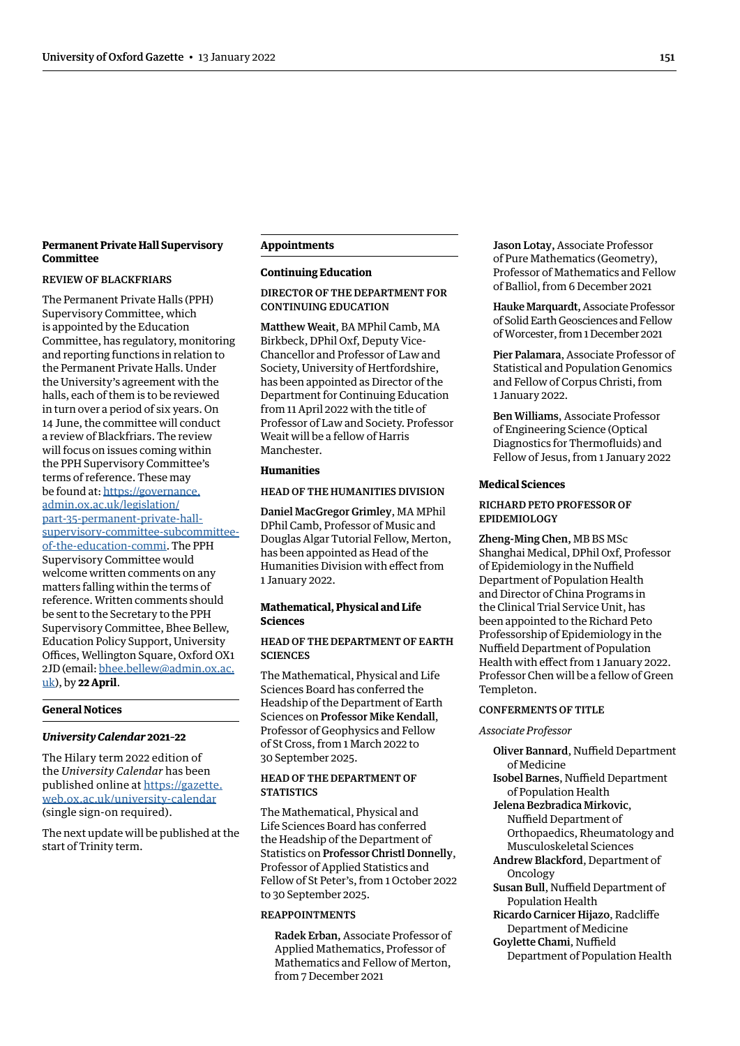# <span id="page-4-0"></span>**Permanent Private Hall Supervisory Committee**

#### REVIEW OF BLACKFRIARS

The Permanent Private Halls (PPH) Supervisory Committee, which is appointed by the Education Committee, has regulatory, monitoring and reporting functions in relation to the Permanent Private Halls. Under the University's agreement with the halls, each of them is to be reviewed in turn over a period of six years. On 14 June, the committee will conduct a review of Blackfriars. The review will focus on issues coming within the PPH Supervisory Committee's terms of reference. These may be found at: [https://governance.](https://governance.admin.ox.ac.uk/legislation/part-35-permanent-private-hall-supervisory-committee-subcommittee-of-the-education-commi) [admin.ox.ac.uk/legislation/](https://governance.admin.ox.ac.uk/legislation/part-35-permanent-private-hall-supervisory-committee-subcommittee-of-the-education-commi) [part-35-permanent-private-hall](https://governance.admin.ox.ac.uk/legislation/part-35-permanent-private-hall-supervisory-committee-subcommittee-of-the-education-commi)[supervisory-committee-subcommittee](https://governance.admin.ox.ac.uk/legislation/part-35-permanent-private-hall-supervisory-committee-subcommittee-of-the-education-commi)[of-the-education-commi.](https://governance.admin.ox.ac.uk/legislation/part-35-permanent-private-hall-supervisory-committee-subcommittee-of-the-education-commi) The PPH Supervisory Committee would welcome written comments on any matters falling within the terms of reference. Written comments should be sent to the Secretary to the PPH Supervisory Committee, Bhee Bellew, Education Policy Support, University Offices, Wellington Square, Oxford OX1 2JD (email: [bhee.bellew@admin.ox.ac.](mailto:bhee.bellew@admin.ox.ac.uk) [uk](mailto:bhee.bellew@admin.ox.ac.uk)), by **22 April**.

# **General Notices**

#### *University Calendar* **2021–22**

The Hilary term 2022 edition of the *University Calendar* has been published online at [https://gazette.](https://gazette.web.ox.ac.uk/university-calendar) [web.ox.ac.uk/university-calendar](https://gazette.web.ox.ac.uk/university-calendar) (single sign-on required).

The next update will be published at the start of Trinity term.

# **Appointments**

# **Continuing Education**

DIRECTOR OF THE DEPARTMENT FOR CONTINUING EDUCATION

Matthew Weait, BA MPhil Camb, MA Birkbeck, DPhil Oxf, Deputy Vice-Chancellor and Professor of Law and Society, University of Hertfordshire, has been appointed as Director of the Department for Continuing Education from 11 April 2022 with the title of Professor of Law and Society. Professor Weait will be a fellow of Harris **Manchester** 

# **Humanities**

#### HEAD OF THE HUMANITIES DIVISION

Daniel MacGregor Grimley, MA MPhil DPhil Camb, Professor of Music and Douglas Algar Tutorial Fellow, Merton, has been appointed as Head of the Humanities Division with effect from 1 January 2022.

# **Mathematical, Physical and Life Sciences**

# HEAD OF THE DEPARTMENT OF EARTH **SCIENCES**

The Mathematical, Physical and Life Sciences Board has conferred the Headship of the Department of Earth Sciences on Professor Mike Kendall, Professor of Geophysics and Fellow of St Cross, from 1 March 2022 to 30 September 2025.

# HEAD OF THE DEPARTMENT OF **STATISTICS**

The Mathematical, Physical and Life Sciences Board has conferred the Headship of the Department of Statistics on Professor Christl Donnelly, Professor of Applied Statistics and Fellow of St Peter's, from 1 October 2022 to 30 September 2025.

# REAPPOINTMENTS

Radek Erban, Associate Professor of Applied Mathematics, Professor of Mathematics and Fellow of Merton, from 7 December 2021

Jason Lotay, Associate Professor of Pure Mathematics (Geometry), Professor of Mathematics and Fellow of Balliol, from 6 December 2021

Hauke Marquardt, Associate Professor of Solid Earth Geosciences and Fellow of Worcester, from 1 December 2021

Pier Palamara, Associate Professor of Statistical and Population Genomics and Fellow of Corpus Christi, from 1 January 2022.

Ben Williams, Associate Professor of Engineering Science (Optical Diagnostics for Thermofluids) and Fellow of Jesus, from 1 January 2022

# **Medical Sciences**

# RICHARD PETO PROFESSOR OF EPIDEMIOLOGY

Zheng-Ming Chen, MB BS MSc Shanghai Medical, DPhil Oxf, Professor of Epidemiology in the Nuffield Department of Population Health and Director of China Programs in the Clinical Trial Service Unit, has been appointed to the Richard Peto Professorship of Epidemiology in the Nuffield Department of Population Health with effect from 1 January 2022. Professor Chen will be a fellow of Green Templeton.

# CONFERMENTS OF TITLE

# *Associate Professor*

Oliver Bannard, Nuffield Department of Medicine Isobel Barnes, Nuffield Department

- of Population Health
- Jelena Bezbradica Mirkovic, Nuffield Department of
- Orthopaedics, Rheumatology and Musculoskeletal Sciences
- Andrew Blackford, Department of Oncology
- Susan Bull, Nuffield Department of Population Health
- Ricardo Carnicer Hijazo, Radcliffe Department of Medicine
- Goylette Chami, Nuffield Department of Population Health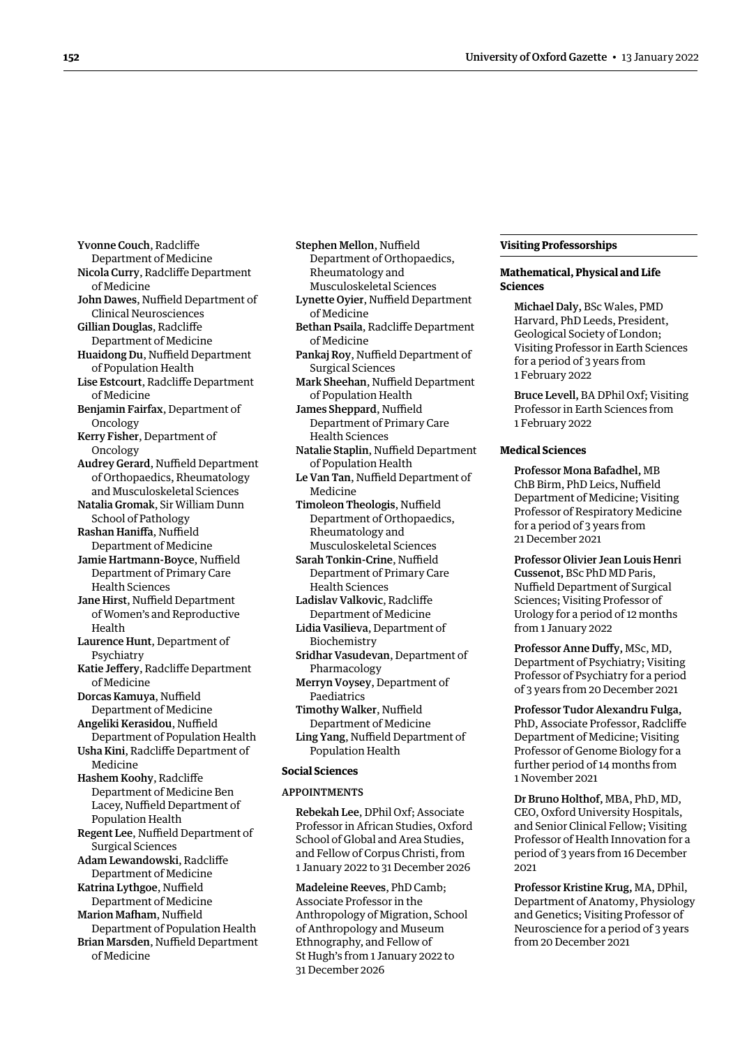<span id="page-5-0"></span>Yvonne Couch, Radcliffe Department of Medicine Nicola Curry, Radcliffe Department of Medicine John Dawes, Nuffield Department of Clinical Neurosciences Gillian Douglas, Radcliffe Department of Medicine Huaidong Du, Nuffield Department of Population Health Lise Estcourt, Radcliffe Department of Medicine Benjamin Fairfax, Department of Oncology Kerry Fisher, Department of Oncology Audrey Gerard, Nuffield Department of Orthopaedics, Rheumatology and Musculoskeletal Sciences Natalia Gromak, Sir William Dunn School of Pathology Rashan Haniffa, Nuffield Department of Medicine Jamie Hartmann-Boyce, Nuffield Department of Primary Care Health Sciences Jane Hirst, Nuffield Department of Women's and Reproductive Health Laurence Hunt, Department of Psychiatry Katie Jeffery, Radcliffe Department of Medicine Dorcas Kamuya, Nuffield Department of Medicine Angeliki Kerasidou, Nuffield Department of Population Health Usha Kini, Radcliffe Department of Medicine Hashem Koohy, Radcliffe Department of Medicine Ben Lacey, Nuffield Department of Population Health Regent Lee, Nuffield Department of Surgical Sciences Adam Lewandowski, Radcliffe Department of Medicine Katrina Lythgoe, Nuffield Department of Medicine Marion Mafham, Nuffield Department of Population Health Brian Marsden, Nuffield Department of Medicine

Rheumatology and Musculoskeletal Sciences Lynette Oyier, Nuffield Department of Medicine Bethan Psaila, Radcliffe Department of Medicine Pankaj Roy, Nuffield Department of Surgical Sciences Mark Sheehan, Nuffield Department of Population Health James Sheppard, Nuffield Department of Primary Care Health Sciences Natalie Staplin, Nuffield Department of Population Health Le Van Tan, Nuffield Department of

Stephen Mellon, Nuffield

Department of Orthopaedics,

Medicine

- Timoleon Theologis, Nuffield Department of Orthopaedics, Rheumatology and Musculoskeletal Sciences
- Sarah Tonkin-Crine, Nuffield Department of Primary Care Health Sciences
- Ladislav Valkovic, Radcliffe Department of Medicine
- Lidia Vasilieva, Department of Biochemistry
- Sridhar Vasudevan, Department of Pharmacology
- Merryn Voysey, Department of Paediatrics
- Timothy Walker, Nuffield Department of Medicine
- Ling Yang, Nuffield Department of Population Health

# **Social Sciences**

#### APPOINTMENTS

Rebekah Lee, DPhil Oxf; Associate Professor in African Studies, Oxford School of Global and Area Studies, and Fellow of Corpus Christi, from 1 January 2022 to 31 December 2026

Madeleine Reeves, PhD Camb; Associate Professor in the Anthropology of Migration, School of Anthropology and Museum Ethnography, and Fellow of St Hugh's from 1 January 2022 to 31 December 2026

# **Visiting Professorships**

# **Mathematical, Physical and Life Sciences**

Michael Daly, BSc Wales, PMD Harvard, PhD Leeds, President, Geological Society of London; Visiting Professor in Earth Sciences for a period of 3 years from 1 February 2022

Bruce Levell, BA DPhil Oxf; Visiting Professor in Earth Sciences from 1 February 2022

# **Medical Sciences**

Professor Mona Bafadhel, MB ChB Birm, PhD Leics, Nuffield Department of Medicine; Visiting Professor of Respiratory Medicine for a period of 3 years from 21 December 2021

Professor Olivier Jean Louis Henri Cussenot, BSc PhD MD Paris, Nuffield Department of Surgical Sciences; Visiting Professor of Urology for a period of 12 months from 1 January 2022

Professor Anne Duffy, MSc, MD, Department of Psychiatry; Visiting Professor of Psychiatry for a period of 3 years from 20 December 2021

Professor Tudor Alexandru Fulga, PhD, Associate Professor, Radcliffe Department of Medicine; Visiting Professor of Genome Biology for a further period of 14 months from 1 November 2021

Dr Bruno Holthof, MBA, PhD, MD, CEO, Oxford University Hospitals, and Senior Clinical Fellow; Visiting Professor of Health Innovation for a period of 3 years from 16 December 2021

Professor Kristine Krug, MA, DPhil, Department of Anatomy, Physiology and Genetics; Visiting Professor of Neuroscience for a period of 3 years from 20 December 2021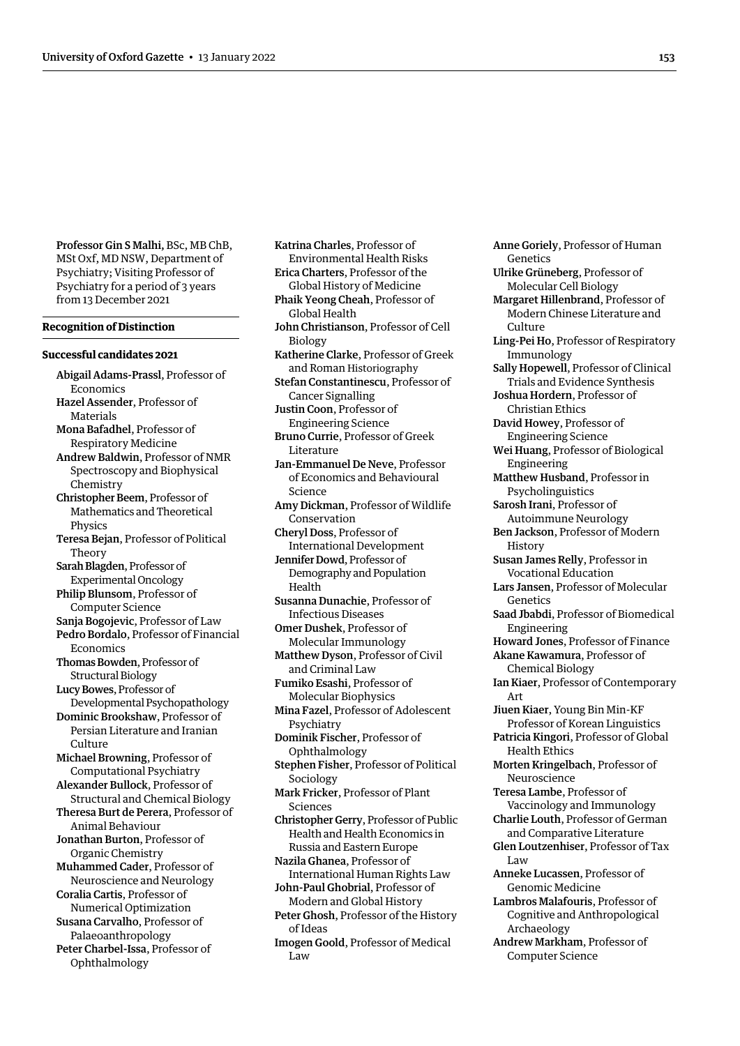Professor Gin S Malhi, BSc, MB ChB, MSt Oxf, MD NSW, Department of Psychiatry; Visiting Professor of Psychiatry for a period of 3 years from 13 December 2021

#### **Recognition of Distinction**

#### **Successful candidates 2021**

- Abigail Adams-Prassl, Professor of Economics Hazel Assender, Professor of Materials Mona Bafadhel, Professor of
- Respiratory Medicine Andrew Baldwin, Professor of NMR
- Spectroscopy and Biophysical Chemistry
- Christopher Beem, Professor of Mathematics and Theoretical Physics
- Teresa Bejan, Professor of Political Theory
- Sarah Blagden, Professor of Experimental Oncology
- Philip Blunsom, Professor of Computer Science
- Sanja Bogojevic, Professor of Law Pedro Bordalo, Professor of Financial Economics
- Thomas Bowden, Professor of Structural Biology

LucyBowes, Professor of Developmental Psychopathology

Dominic Brookshaw, Professor of Persian Literature and Iranian Culture

Michael Browning, Professor of Computational Psychiatry

Alexander Bullock, Professor of Structural and Chemical Biology

Theresa Burt de Perera, Professor of Animal Behaviour

- Jonathan Burton, Professor of Organic Chemistry
- Muhammed Cader, Professor of Neuroscience and Neurology
- Coralia Cartis, Professor of Numerical Optimization Susana Carvalho, Professor of
- Palaeoanthropology Peter Charbel-Issa, Professor of

Ophthalmology

Katrina Charles, Professor of Environmental Health Risks Erica Charters, Professor of the Global History of Medicine Phaik Yeong Cheah, Professor of Global Health John Christianson, Professor of Cell Biology Katherine Clarke, Professor of Greek and Roman Historiography Stefan Constantinescu, Professor of Cancer Signalling Justin Coon, Professor of Engineering Science Bruno Currie, Professor of Greek Literature Jan-Emmanuel De Neve, Professor of Economics and Behavioural Science Amy Dickman, Professor of Wildlife Conservation Cheryl Doss, Professor of International Development Jennifer Dowd, Professor of Demography and Population Health Susanna Dunachie, Professor of Infectious Diseases Omer Dushek, Professor of Molecular Immunology Matthew Dyson, Professor of Civil and Criminal Law Fumiko Esashi, Professor of Molecular Biophysics Mina Fazel, Professor of Adolescent Psychiatry Dominik Fischer, Professor of Ophthalmology Stephen Fisher, Professor of Political Sociology Mark Fricker, Professor of Plant Sciences Christopher Gerry, Professor of Public Health and Health Economics in Russia and Eastern Europe Nazila Ghanea, Professor of International Human Rights Law John-Paul Ghobrial, Professor of Modern and Global History Peter Ghosh, Professor of the History of Ideas Imogen Goold, Professor of Medical  $\overline{L}$ aw

Anne Goriely, Professor of Human Genetics Ulrike Grüneberg, Professor of Molecular Cell Biology Margaret Hillenbrand, Professor of Modern Chinese Literature and Culture Ling-Pei Ho, Professor of Respiratory Immunology Sally Hopewell, Professor of Clinical Trials and Evidence Synthesis Joshua Hordern, Professor of Christian Ethics David Howey, Professor of Engineering Science Wei Huang, Professor of Biological Engineering Matthew Husband, Professor in Psycholinguistics Sarosh Irani, Professor of Autoimmune Neurology Ben Jackson, Professor of Modern History Susan James Relly, Professor in Vocational Education Lars Jansen, Professor of Molecular Genetics Saad Jbabdi, Professor of Biomedical Engineering Howard Jones, Professor of Finance Akane Kawamura, Professor of Chemical Biology Ian Kiaer, Professor of Contemporary Art Jiuen Kiaer, Young Bin Min-KF Professor of Korean Linguistics Patricia Kingori, Professor of Global Health Ethics Morten Kringelbach, Professor of Neuroscience Teresa Lambe, Professor of Vaccinology and Immunology Charlie Louth, Professor of German and Comparative Literature Glen Loutzenhiser, Professor of Tax Law Anneke Lucassen, Professor of Genomic Medicine Lambros Malafouris, Professor of Cognitive and Anthropological Archaeology Andrew Markham, Professor of Computer Science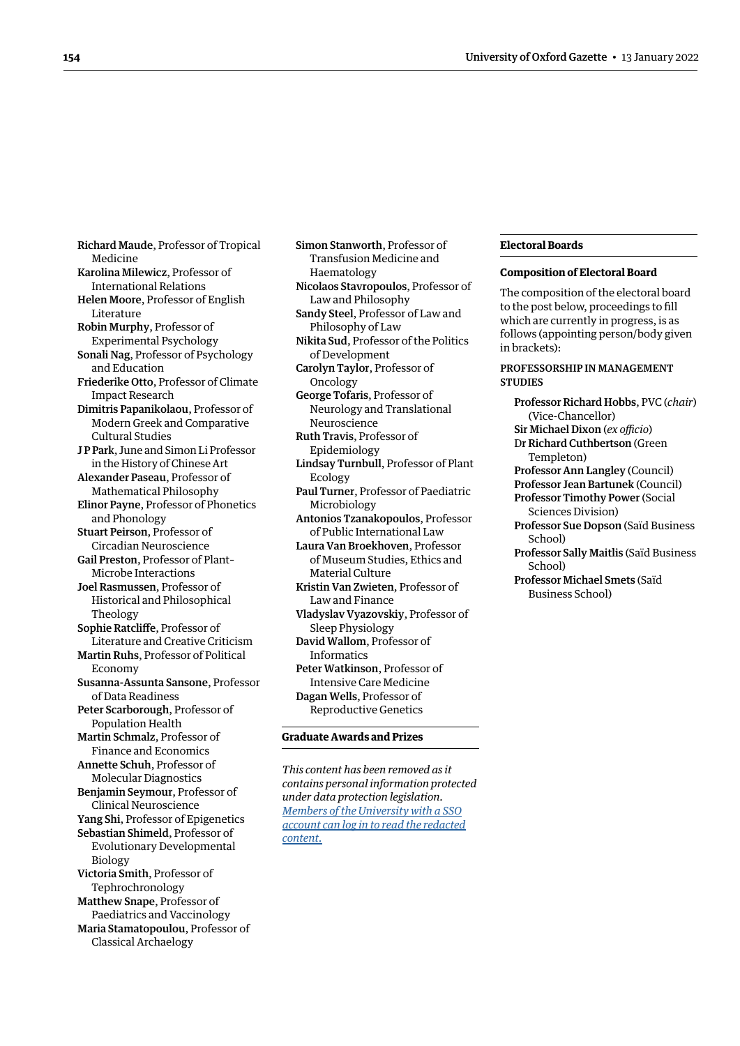<span id="page-7-0"></span>Richard Maude, Professor of Tropical Medicine Karolina Milewicz, Professor of International Relations Helen Moore, Professor of English Literature Robin Murphy, Professor of Experimental Psychology Sonali Nag, Professor of Psychology and Education Friederike Otto, Professor of Climate Impact Research Dimitris Papanikolaou, Professor of Modern Greek and Comparative Cultural Studies J P Park, June and Simon Li Professor in the History of Chinese Art Alexander Paseau, Professor of Mathematical Philosophy Elinor Payne, Professor of Phonetics and Phonology Stuart Peirson, Professor of Circadian Neuroscience Gail Preston, Professor of Plant– Microbe Interactions Joel Rasmussen, Professor of Historical and Philosophical Theology Sophie Ratcliffe, Professor of Literature and Creative Criticism Martin Ruhs, Professor of Political Economy Susanna-Assunta Sansone, Professor of Data Readiness Peter Scarborough, Professor of Population Health Martin Schmalz, Professor of Finance and Economics Annette Schuh, Professor of Molecular Diagnostics Benjamin Seymour, Professor of Clinical Neuroscience Yang Shi, Professor of Epigenetics Sebastian Shimeld, Professor of Evolutionary Developmental Biology Victoria Smith, Professor of Tephrochronology Matthew Snape, Professor of Paediatrics and Vaccinology Maria Stamatopoulou, Professor of Classical Archaelogy

Simon Stanworth, Professor of Transfusion Medicine and Haematology Nicolaos Stavropoulos, Professor of Law and Philosophy Sandy Steel, Professor of Law and Philosophy of Law Nikita Sud, Professor of the Politics of Development Carolyn Taylor, Professor of Oncology George Tofaris, Professor of Neurology and Translational Neuroscience Ruth Travis, Professor of Epidemiology Lindsay Turnbull, Professor of Plant Ecology Paul Turner, Professor of Paediatric Microbiology Antonios Tzanakopoulos, Professor of Public International Law Laura Van Broekhoven, Professor of Museum Studies, Ethics and Material Culture Kristin Van Zwieten, Professor of Law and Finance Vladyslav Vyazovskiy, Professor of Sleep Physiology David Wallom, Professor of Informatics Peter Watkinson, Professor of Intensive Care Medicine Dagan Wells, Professor of Reproductive Genetics **Graduate Awards and Prizes**

*This content has been removed as it contains personal information protected under data protection legislation. Members of the University with a SSO [account can log in to read the redacted](https://unioxfordnexus.sharepoint.com/sites/PublicAffairsDirectorate-Gazette/Online%20Gazette%20Issues/Gazette%202021-22/13%20January%202022%20-%20No%205334.pdf#page=8)  content.*

#### **Electoral Boards**

#### **Composition of Electoral Board**

The composition of the electoral board to the post below, proceedings to fill which are currently in progress, is as follows (appointing person/body given in brackets):

# PROFESSORSHIP IN MANAGEMENT **STUDIES**

Professor Richard Hobbs, PVC (*chair*) (Vice-Chancellor) Sir Michael Dixon (*ex officio*) Dr Richard Cuthbertson (Green Templeton) Professor Ann Langley (Council) Professor Jean Bartunek (Council) Professor Timothy Power (Social Sciences Division) Professor Sue Dopson (Saïd Business School)

Professor Sally Maitlis (Saïd Business School)

Professor Michael Smets (Saïd Business School)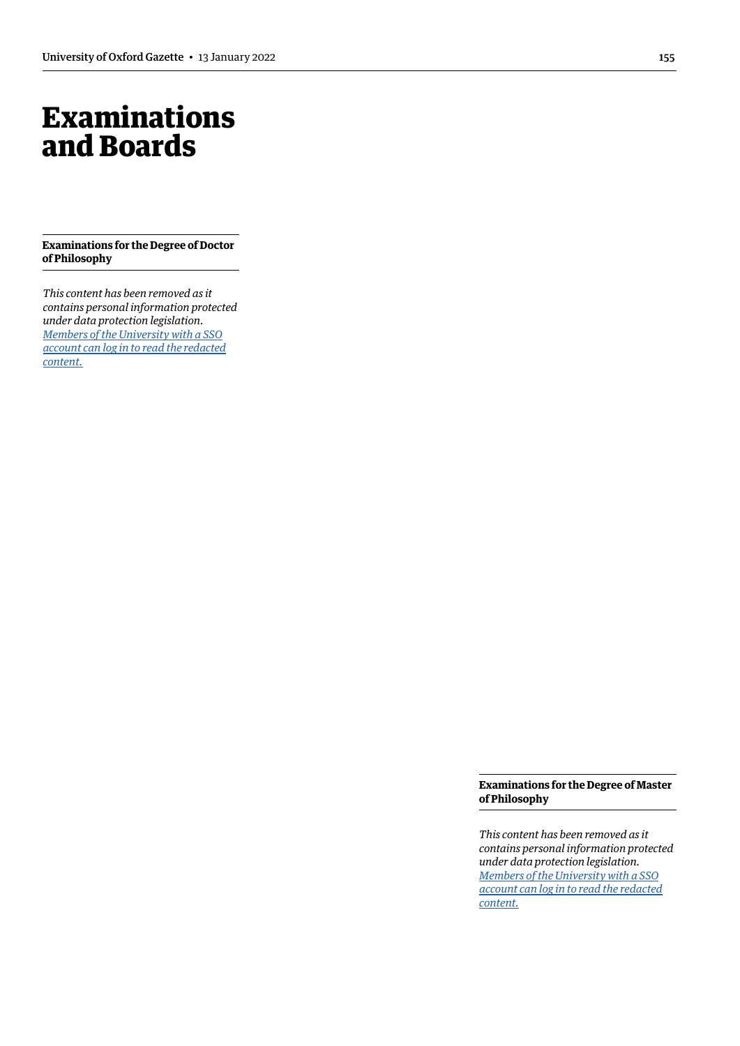# <span id="page-8-0"></span>Examinations and Boards

**Examinations for the Degree of Doctor of Philosophy**

*This content has been removed as it contains personal information protected under data protection legislation. Members of the University with a SSO [account can log in to read the redacted](https://unioxfordnexus.sharepoint.com/sites/PublicAffairsDirectorate-Gazette/Online%20Gazette%20Issues/Gazette%202021-22/13%20January%202022%20-%20No%205334.pdf#page=9)  content.*

> **Examinations for the Degree of Master of Philosophy**

> *This content has been removed as it contains personal information protected under data protection legislation. Members of the University with a SSO [account can log in to read the redacted](https://unioxfordnexus.sharepoint.com/sites/PublicAffairsDirectorate-Gazette/Online%20Gazette%20Issues/Gazette%202021-22/13%20January%202022%20-%20No%205334.pdf#page=9)  content.*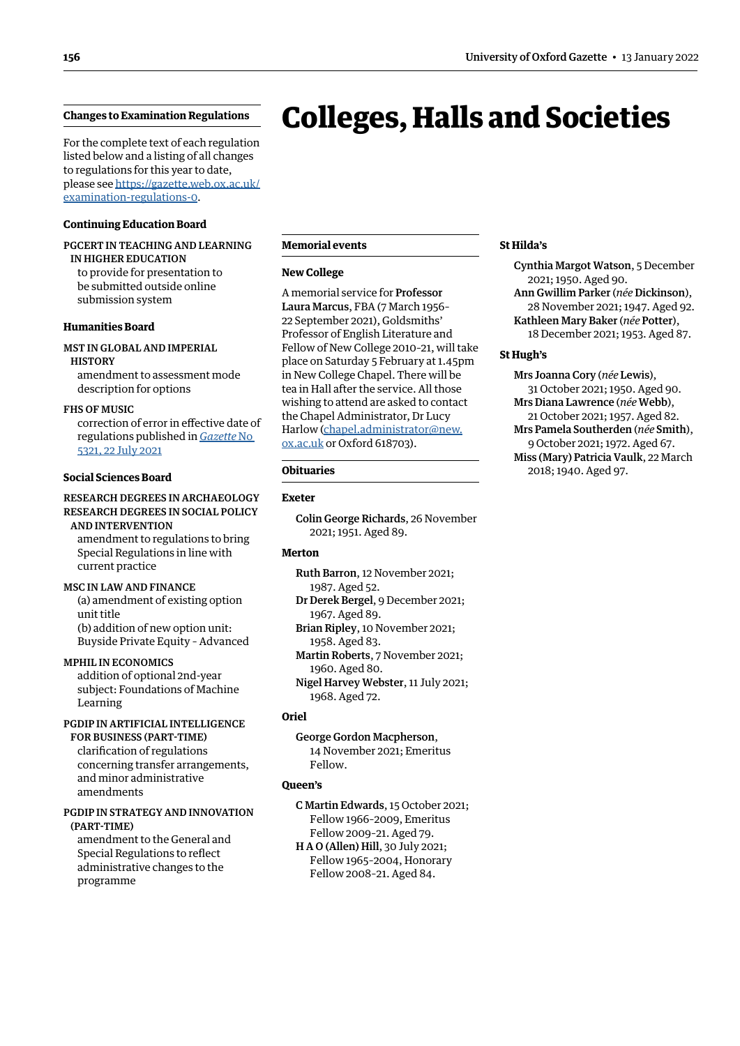# <span id="page-9-1"></span><span id="page-9-0"></span>**Changes to Examination Regulations**

For the complete text of each regulation listed below and a listing of all changes to regulations for this year to date, [please see https://gazette.web.ox.ac.uk/](https://gazette.web.ox.ac.uk/examination-regulations-0) examination-regulations-0.

# **Continuing Education Board**

# PGCERT IN TEACHING AND LEARNING IN HIGHER EDUCATION

to provide for presentation to be submitted outside online submission system

#### **Humanities Board**

# MST IN GLOBAL AND IMPERIAL **HISTORY**

amendment to assessment mode description for options

#### FHS OF MUSIC

correction of error in effective date of regulations published in *[Gazette](https://gazette.web.ox.ac.uk/sites/default/files/gazette/documents/media/22-07-21_fhs_of_music.pdf)* No [5321, 22 July 2021](https://gazette.web.ox.ac.uk/sites/default/files/gazette/documents/media/22-07-21_fhs_of_music.pdf)

#### **Social Sciences Board**

# RESEARCH DEGREES IN ARCHAEOLOGY RESEARCH DEGREES IN SOCIAL POLICY

AND INTERVENTION amendment to regulations to bring Special Regulations in line with current practice

MSC IN LAW AND FINANCE (a) amendment of existing option unit title (b) addition of new option unit: Buyside Private Equity – Advanced

MPHIL IN ECONOMICS addition of optional 2nd-year subject: Foundations of Machine Learning

# PGDIP IN ARTIFICIAL INTELLIGENCE FOR BUSINESS (PART-TIME) clarification of regulations

concerning transfer arrangements, and minor administrative amendments

#### PGDIP IN STRATEGY AND INNOVATION (PART-TIME)

amendment to the General and Special Regulations to reflect administrative changes to the programme

#### **Memorial events**

#### **New College**

A memorial service for Professor Laura Marcus, FBA (7 March 1956– 22 September 2021), Goldsmiths' Professor of English Literature and Fellow of New College 2010–21, will take place on Saturday 5 February at 1.45pm in New College Chapel. There will be tea in Hall after the service. All those wishing to attend are asked to contact the Chapel Administrator, Dr Lucy Harlow ([chapel.administrator@new.](mailto:chapel.administrator@new.ox.ac.uk) [ox.ac.uk](mailto:chapel.administrator@new.ox.ac.uk) or Oxford 618703).

# **Obituaries**

# **Exeter**

Colin George Richards, 26 November 2021; 1951. Aged 89.

# **Merton**

Ruth Barron, 12 November 2021; 1987. Aged 52.

Dr Derek Bergel, 9 December 2021;

1967. Aged 89. Brian Ripley, 10 November 2021;

1958. Aged 83.

Martin Roberts, 7 November 2021; 1960. Aged 80.

Nigel Harvey Webster, 11 July 2021; 1968. Aged 72.

# **Oriel**

George Gordon Macpherson, 14 November 2021; Emeritus Fellow.

# **Queen's**

C Martin Edwards, 15 October 2021; Fellow 1966–2009, Emeritus Fellow 2009–21. Aged 79.

H A O (Allen) Hill, 30 July 2021; Fellow 1965–2004, Honorary Fellow 2008–21. Aged 84.

# **St Hilda's**

Colleges, Halls and Societies

Cynthia Margot Watson, 5 December 2021; 1950. Aged 90. Ann Gwillim Parker (*née* Dickinson), 28 November 2021; 1947. Aged 92. Kathleen Mary Baker (*née* Potter), 18 December 2021; 1953. Aged 87.

# **St Hugh's**

Mrs Joanna Cory (*née* Lewis), 31 October 2021; 1950. Aged 90. Mrs Diana Lawrence (*née* Webb), 21 October 2021; 1957. Aged 82. Mrs Pamela Southerden (*née* Smith), 9 October 2021; 1972. Aged 67. Miss (Mary) Patricia Vaulk, 22 March 2018; 1940. Aged 97.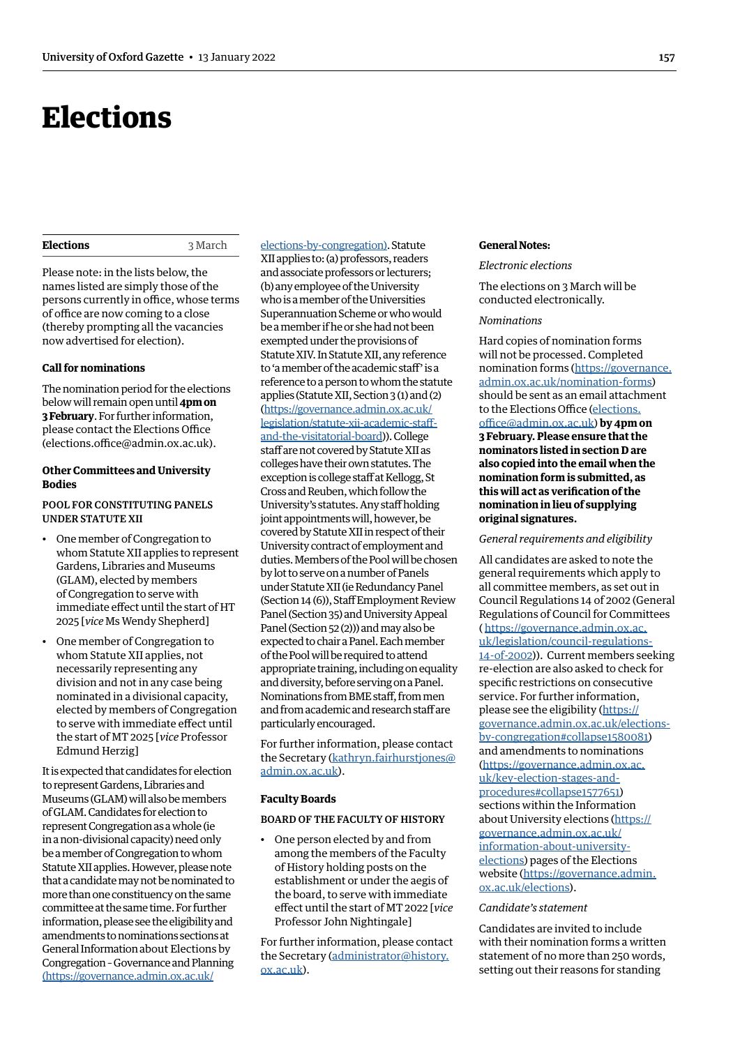# <span id="page-10-1"></span><span id="page-10-0"></span>**Elections**

# **Elections** 3 March

Please note: in the lists below, the names listed are simply those of the persons currently in office, whose terms of office are now coming to a close (thereby prompting all the vacancies now advertised for election).

#### **Call for nominations**

The nomination period for the elections below will remain open until **4pm on 3 February**. For further information, please contact the Elections Office (elections.office@admin.ox.ac.uk).

# **Other Committees and University Bodies**

# POOL FOR CONSTITUTING PANELS UNDER STATUTE XII

- One member of Congregation to whom Statute XII applies to represent Gardens, Libraries and Museums (GLAM), elected by members of Congregation to serve with immediate effect until the start of HT 2025 [*vice* Ms Wendy Shepherd]
- One member of Congregation to whom Statute XII applies, not necessarily representing any division and not in any case being nominated in a divisional capacity, elected by members of Congregation to serve with immediate effect until the start of MT 2025 [*vice* Professor Edmund Herzig]

It is expected that candidates for election to represent Gardens, Libraries and Museums (GLAM) will also be members of GLAM. Candidates for election to represent Congregation as a whole (ie in a non-divisional capacity) need only be a member of Congregation to whom Statute XII applies. However, please note that a candidate may not be nominated to more than one constituency on the same committee at the same time. For further information, please see the eligibility and amendments to nominations sections at General Information about Elections by Congregation – Governance and Planning ([https://governance.admin.ox.ac.uk/](https://governance.admin.ox.ac.uk/elections-by-congregation)

[elections-by-congregation\)](https://governance.admin.ox.ac.uk/elections-by-congregation). Statute XII applies to: (a) professors, readers and associate professors or lecturers; (b) any employee of the University who is a member of the Universities Superannuation Scheme or who would be a member if he or she had not been exempted under the provisions of Statute XIV. In Statute XII, any reference to 'a member of the academic staff' is a reference to a person to whom the statute applies (Statute XII, Section 3 (1) and (2) (https://governance.admin.ox.ac.uk/ legislation/statute-xii-academic-staffand-the-visitatorial-board)). College staff are not covered by Statute XII as colleges have their own statutes. The exception is college staff at Kellogg, St Cross and Reuben, which follow the University's statutes. Any staff holding joint appointments will, however, be covered by Statute XII in respect of their University contract of employment and duties. Members of the Pool will be chosen by lot to serve on a number of Panels under Statute XII (ie Redundancy Panel (Section 14 (6)), Staff Employment Review Panel (Section 35) and University Appeal Panel (Section 52 (2))) and may also be expected to chair a Panel. Each member of the Pool will be required to attend appropriate training, including on equality and diversity, before serving on a Panel. Nominations from BME staff, from men and from academic and research staff are particularly encouraged.

For further information, please contact the Secretary (kathryn.fairhurstjones@ admin.ox.ac.uk).

# **Faculty Boards**

#### BOARD OF THE FACULTY OF HISTORY

• One person elected by and from among the members of the Faculty of History holding posts on the establishment or under the aegis of the board, to serve with immediate effect until the start of MT 2022 [*vice* Professor John Nightingale]

For further information, please contact the Secretary (administrator@history. ox.ac.uk).

#### **General Notes:**

#### *Electronic elections*

The elections on 3 March will be conducted electronically.

# *Nominations*

Hard copies of nomination forms will not be processed. Completed nomination forms (https://governance. admin.ox.ac.uk/nomination-forms) should be sent as an email attachment to the Elections Office [\(elections.](mailto:elections.office%40admin.ox.ac.uk?subject=) [office@admin.ox.ac.uk](mailto:elections.office%40admin.ox.ac.uk?subject=)) **by 4pm on 3 February. Please ensure that the nominators listed in section D are also copied into the email when the nomination form is submitted, as this will act as verification of the nomination in lieu of supplying original signatures.**

#### *General requirements and eligibility*

All candidates are asked to note the general requirements which apply to all committee members, as set out in Council Regulations 14 of 2002 (General Regulations of Council for Committees ( https://governance.admin.ox.ac. uk/legislation/council-regulations-14-of-2002)). Current members seeking re-election are also asked to check for specific restrictions on consecutive service. For further information, please see the eligibility (https:// governance.admin.ox.ac.uk/electionsby-congregation#collapse1580081) and amendments to nominations (https://governance.admin.ox.ac. uk/key-election-stages-andprocedures#collapse1577651) sections within the Information about University elections (https:// governance.admin.ox.ac.uk/ information-about-universityelections) pages of the Elections website (https://governance.admin. ox.ac.uk/elections).

# *Candidate's statement*

Candidates are invited to include with their nomination forms a written statement of no more than 250 words, setting out their reasons for standing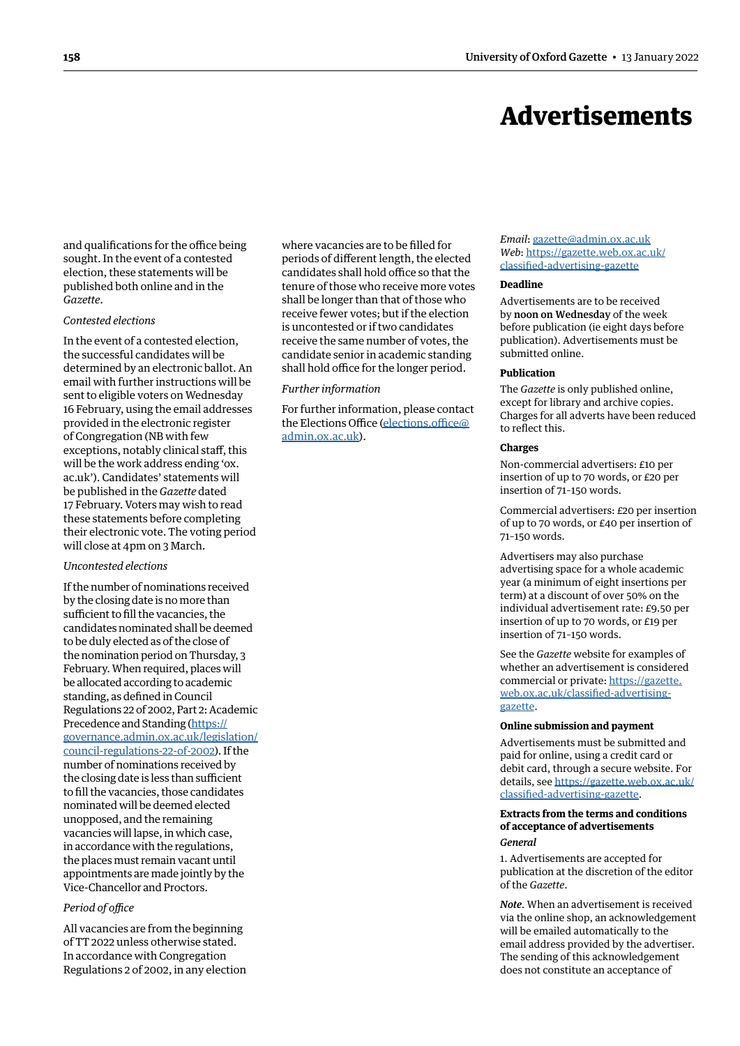# Advertisements

<span id="page-11-0"></span>and qualifications for the office being sought. In the event of a contested election, these statements will be published both online and in the *Gazette*.

#### *Contested elections*

In the event of a contested election, the successful candidates will be determined by an electronic ballot. An email with further instructions will be sent to eligible voters on Wednesday 16 February, using the email addresses provided in the electronic register of Congregation (NB with few exceptions, notably clinical staff, this will be the work address ending 'ox. ac.uk'). Candidates' statements will be published in the *Gazette* dated 17 February. Voters may wish to read these statements before completing their electronic vote. The voting period will close at 4pm on 3 March.

# *Uncontested elections*

If the number of nominations received by the closing date is no more than sufficient to fill the vacancies, the candidates nominated shall be deemed to be duly elected as of the close of the nomination period on Thursday, 3 February. When required, places will be allocated according to academic standing, as defined in Council Regulations 22 of 2002, Part 2: Academic Precedence and Standing (https:// governance.admin.ox.ac.uk/legislation/ council-regulations-22-of-2002). If the number of nominations received by the closing date is less than sufficient to fill the vacancies, those candidates nominated will be deemed elected unopposed, and the remaining vacancies will lapse, in which case, in accordance with the regulations, the places must remain vacant until appointments are made jointly by the Vice-Chancellor and Proctors.

# *Period of office*

All vacancies are from the beginning of TT 2022 unless otherwise stated. In accordance with Congregation Regulations 2 of 2002, in any election where vacancies are to be filled for periods of different length, the elected candidates shall hold office so that the tenure of those who receive more votes shall be longer than that of those who receive fewer votes; but if the election is uncontested or if two candidates receive the same number of votes, the candidate senior in academic standing shall hold office for the longer period.

#### *Further information*

For further information, please contact the Elections Office (elections.office@ admin.ox.ac.uk).

#### *Email*: gazette@admin.ox.ac.uk *Web*: https://[gazette.web.ox.ac.uk/](https://gazette.web.ox.ac.uk/classified-advertising-gazette) [classified-advertising](https://gazette.web.ox.ac.uk/classified-advertising-gazette)-gazette

#### **Deadline**

Advertisements are to be received by noon on Wednesday of the week before publication (ie eight days before publication). Advertisements must be submitted online.

# **Publication**

The *Gazette* is only published online, except for library and archive copies. Charges for all adverts have been reduced to reflect this.

#### **Charges**

Non-commercial advertisers: £10 per insertion of up to 70 words, or £20 per insertion of 71–150 words.

Commercial advertisers: £20 per insertion of up to 70 words, or £40 per insertion of 71–150 words.

Advertisers may also purchase advertising space for a whole academic year (a minimum of eight insertions per term) at a discount of over 50% on the individual advertisement rate: £9.50 per insertion of up to 70 words, or £19 per insertion of 71–150 words.

See the *Gazette* website for examples of whether an advertisement is considered commercial or private: https://[gazette.](https://gazette.web.ox.ac.uk/classified-advertising-gazette) [web.ox.ac.uk/classified-advertising](https://gazette.web.ox.ac.uk/classified-advertising-gazette)gazette.

#### **Online submission and payment**

Advertisements must be submitted and paid for online, using a credit card or debit card, through a secure website. For details, see https://[gazette.web.ox.ac.uk/](https://gazette.web.ox.ac.uk/classified-advertising-gazette) [classified-advertising](https://gazette.web.ox.ac.uk/classified-advertising-gazette)-gazette.

#### **Extracts from the terms and conditions of acceptance of advertisements** *General*

1. Advertisements are accepted for publication at the discretion of the editor of the *Gazette*.

*Note*. When an advertisement is received via the online shop, an acknowledgement will be emailed automatically to the email address provided by the advertiser. The sending of this acknowledgement does not constitute an acceptance of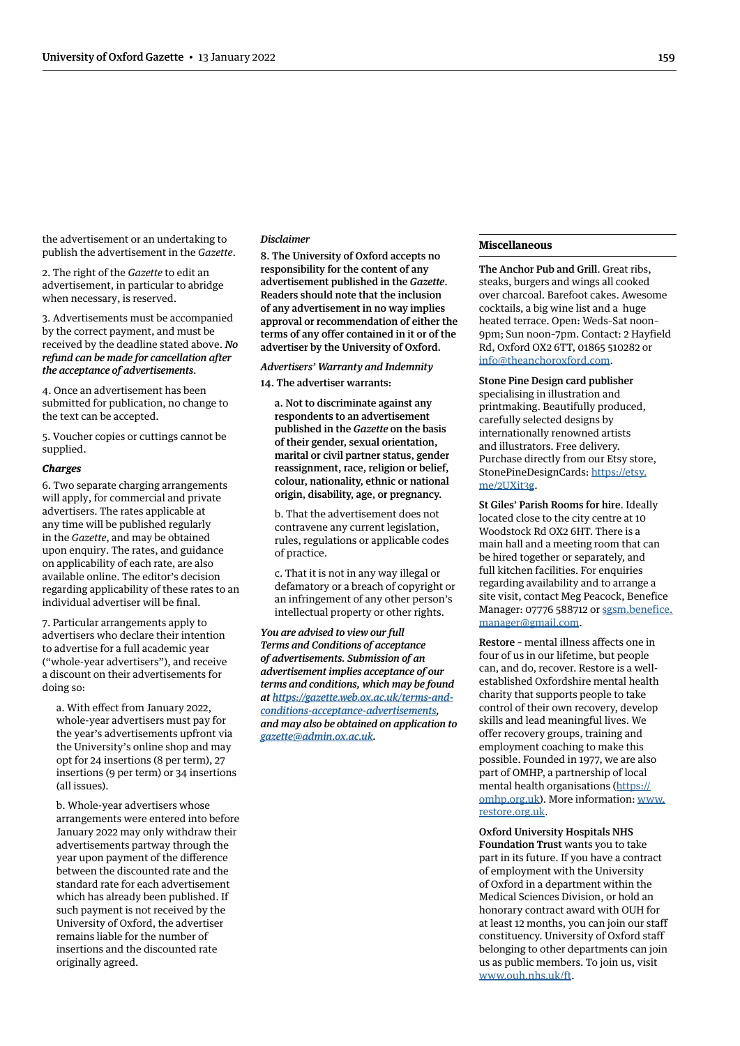the advertisement or an undertaking to publish the advertisement in the *Gazette*.

2. The right of the *Gazette* to edit an advertisement, in particular to abridge when necessary, is reserved.

3. Advertisements must be accompanied by the correct payment, and must be received by the deadline stated above. *No refund can be made for cancellation after the acceptance of advertisements*.

4. Once an advertisement has been submitted for publication, no change to the text can be accepted.

5. Voucher copies or cuttings cannot be supplied.

# *Charges*

6. Two separate charging arrangements will apply, for commercial and private advertisers. The rates applicable at any time will be published regularly in the *Gazette*, and may be obtained upon enquiry. The rates, and guidance on applicability of each rate, are also available online. The editor's decision regarding applicability of these rates to an individual advertiser will be final.

7. Particular arrangements apply to advertisers who declare their intention to advertise for a full academic year ("whole-year advertisers"), and receive a discount on their advertisements for doing so:

a. With effect from January 2022, whole-year advertisers must pay for the year's advertisements upfront via the University's online shop and may opt for 24 insertions (8 per term), 27 insertions (9 per term) or 34 insertions (all issues).

b. Whole-year advertisers whose arrangements were entered into before January 2022 may only withdraw their advertisements partway through the year upon payment of the difference between the discounted rate and the standard rate for each advertisement which has already been published. If such payment is not received by the University of Oxford, the advertiser remains liable for the number of insertions and the discounted rate originally agreed.

#### *Disclaimer*

8. The University of Oxford accepts no responsibility for the content of any advertisement published in the *Gazette*. Readers should note that the inclusion of any advertisement in no way implies approval or recommendation of either the terms of any offer contained in it or of the advertiser by the University of Oxford.

*Advertisers' Warranty and Indemnity*

14. The advertiser warrants:

a. Not to discriminate against any respondents to an advertisement published in the *Gazette* on the basis of their gender, sexual orientation, marital or civil partner status, gender reassignment, race, religion or belief, colour, nationality, ethnic or national origin, disability, age, or pregnancy.

b. That the advertisement does not contravene any current legislation, rules, regulations or applicable codes of practice.

c. That it is not in any way illegal or defamatory or a breach of copyright or an infringement of any other person's intellectual property or other rights.

*You are advised to view our full Terms and Conditions of acceptance of advertisements. Submission of an advertisement implies acceptance of our terms and conditions, which may be found at [https://gazette.web.ox.ac.uk/terms-and](https://gazette.web.ox.ac.uk/terms-and-conditions-acceptance-advertisements)[conditions-acceptance-advertisements](https://gazette.web.ox.ac.uk/terms-and-conditions-acceptance-advertisements), and may also be obtained on application to gazette@admin.ox.ac.uk.*

#### **Miscellaneous**

The Anchor Pub and Grill. Great ribs, steaks, burgers and wings all cooked over charcoal. Barefoot cakes. Awesome cocktails, a big wine list and a huge heated terrace. Open: Weds–Sat noon– 9pm; Sun noon–7pm. Contact: 2 Hayfield Rd, Oxford OX2 6TT, 01865 510282 or info@theanchoroxford.com.

Stone Pine Design card publisher specialising in illustration and printmaking. Beautifully produced, carefully selected designs by internationally renowned artists and illustrators. Free delivery. Purchase directly from our Etsy store, StonePineDesignCards: [https://etsy.](https://etsy.me/2UXit3g) [me/2UXit3g](https://etsy.me/2UXit3g).

St Giles' Parish Rooms for hire. Ideally located close to the city centre at 10 Woodstock Rd OX2 6HT. There is a main hall and a meeting room that can be hired together or separately, and full kitchen facilities. For enquiries regarding availability and to arrange a site visit, contact Meg Peacock, Benefice Manager: 07776 588712 or [sgsm.benefice.](mailto:sgsm.benefice.manager%40gmail.com?subject=) [manager@gmail.com](mailto:sgsm.benefice.manager%40gmail.com?subject=).

Restore – mental illness affects one in four of us in our lifetime, but people can, and do, recover. Restore is a wellestablished Oxfordshire mental health charity that supports people to take control of their own recovery, develop skills and lead meaningful lives. We offer recovery groups, training and employment coaching to make this possible. Founded in 1977, we are also part of OMHP, a partnership of local mental health organisations ([https://](https://omhp.org.uk) [omhp.org.uk](https://omhp.org.uk)). More information: [www.](http://www.restore.org.uk) [restore.org.uk.](http://www.restore.org.uk)

Oxford University Hospitals NHS Foundation Trust wants you to take part in its future. If you have a contract of employment with the University of Oxford in a department within the Medical Sciences Division, or hold an honorary contract award with OUH for at least 12 months, you can join our staff constituency. University of Oxford staff belonging to other departments can join us as public members. To join us, visit www.ouh.nhs.uk/ft.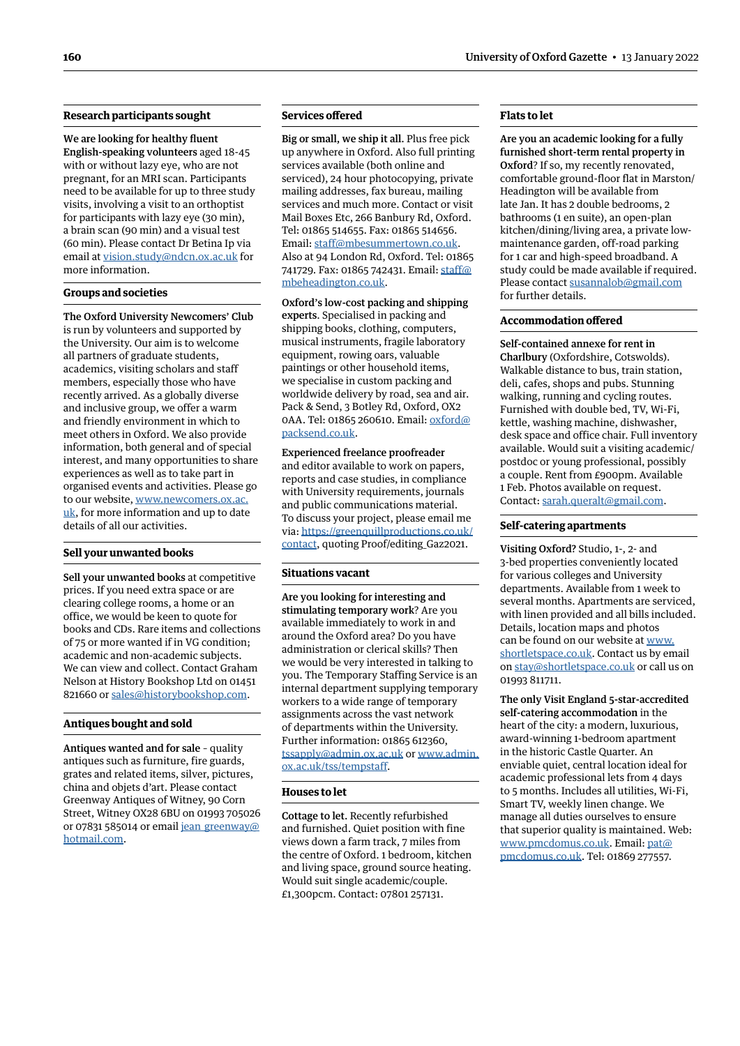# **Research participants sought**

We are looking for healthy fluent English-speaking volunteers aged 18-45 with or without lazy eye, who are not pregnant, for an MRI scan. Participants need to be available for up to three study visits, involving a visit to an orthoptist for participants with lazy eye (30 min), a brain scan (90 min) and a visual test (60 min). Please contact Dr Betina Ip via email at vision.study@ndcn.ox.ac.uk for more information.

# **Groups and societies**

The Oxford University Newcomers' Club is run by volunteers and supported by the University. Our aim is to welcome all partners of graduate students, academics, visiting scholars and staff members, especially those who have recently arrived. As a globally diverse and inclusive group, we offer a warm and friendly environment in which to meet others in Oxford. We also provide information, both general and of special interest, and many opportunities to share experiences as well as to take part in organised events and activities. Please go to our website, [www.newcomers.ox.ac.](http://www.newcomers.ox.ac.uk) [uk,](http://www.newcomers.ox.ac.uk) for more information and up to date details of all our activities.

#### **Sell your unwanted books**

Sell your unwanted books at competitive prices. If you need extra space or are clearing college rooms, a home or an office, we would be keen to quote for books and CDs. Rare items and collections of 75 or more wanted if in VG condition; academic and non-academic subjects. We can view and collect. Contact Graham Nelson at History Bookshop Ltd on 01451 821660 or sales@historybookshop.com.

#### **Antiques bought and sold**

Antiques wanted and for sale – quality antiques such as furniture, fire guards, grates and related items, silver, pictures, china and objets d'art. Please contact Greenway Antiques of Witney, 90 Corn Street, Witney OX28 6BU on 01993 705026 or 07831 585014 or email [jean\\_greenway@](mailto:jean_greenway%40hotmail.com?subject=) [hotmail.com](mailto:jean_greenway%40hotmail.com?subject=).

# **Services offered**

Big or small, we ship it all. Plus free pick up anywhere in Oxford. Also full printing services available (both online and serviced), 24 hour photocopying, private mailing addresses, fax bureau, mailing services and much more. Contact or visit Mail Boxes Etc, 266 Banbury Rd, Oxford. Tel: 01865 514655. Fax: 01865 514656. Email: staff@mbesummertown.co.uk. Also at 94 London Rd, Oxford. Tel: 01865 741729. Fax: 01865 742431. Email: [staff@](mailto:staff%40mbeheadington.co.uk?subject=) [mbeheadington.co.uk.](mailto:staff%40mbeheadington.co.uk?subject=)

Oxford's low-cost packing and shipping experts. Specialised in packing and shipping books, clothing, computers, musical instruments, fragile laboratory equipment, rowing oars, valuable paintings or other household items, we specialise in custom packing and worldwide delivery by road, sea and air. Pack & Send, 3 Botley Rd, Oxford, OX2 0AA. Tel: 01865 260610. Email: [oxford@](mailto:oxford%40packsend.co.uk?subject=) [packsend.co.uk.](mailto:oxford%40packsend.co.uk?subject=)

Experienced freelance proofreader and editor available to work on papers, reports and case studies, in compliance with University requirements, journals and public communications material. To discuss your project, please email me via: [https://greenquillproductions.co.uk/](https://greenquillproductions.co.uk/contact) [contact,](https://greenquillproductions.co.uk/contact) quoting Proof/editing\_Gaz2021.

#### **Situations vacant**

Are you looking for interesting and stimulating temporary work? Are you available immediately to work in and around the Oxford area? Do you have administration or clerical skills? Then we would be very interested in talking to you. The Temporary Staffing Service is an internal department supplying temporary workers to a wide range of temporary assignments across the vast network of departments within the University. Further information: 01865 612360, tssapply@admin.ox.ac.uk or [www.admin.](http://www.admin.ox.ac.uk/tss/tempstaff) [ox.ac.uk/tss/tempstaff.](http://www.admin.ox.ac.uk/tss/tempstaff)

#### **Houses to let**

Cottage to let. Recently refurbished and furnished. Quiet position with fine views down a farm track, 7 miles from the centre of Oxford. 1 bedroom, kitchen and living space, ground source heating. Would suit single academic/couple. £1,300pcm. Contact: 07801 257131.

# **Flats to let**

Are you an academic looking for a fully furnished short-term rental property in Oxford? If so, my recently renovated, comfortable ground-floor flat in Marston/ Headington will be available from late Jan. It has 2 double bedrooms, 2 bathrooms (1 en suite), an open-plan kitchen/dining/living area, a private lowmaintenance garden, off-road parking for 1 car and high-speed broadband. A study could be made available if required. Please contact susannalob@gmail.com for further details.

#### **Accommodation offered**

Self-contained annexe for rent in Charlbury (Oxfordshire, Cotswolds). Walkable distance to bus, train station, deli, cafes, shops and pubs. Stunning walking, running and cycling routes. Furnished with double bed, TV, Wi-Fi, kettle, washing machine, dishwasher, desk space and office chair. Full inventory available. Would suit a visiting academic/ postdoc or young professional, possibly a couple. Rent from £900pm. Available 1 Feb. Photos available on request. Contact: sarah.queralt@gmail.com.

#### **Self-catering apartments**

Visiting Oxford? Studio, 1-, 2- and 3-bed properties conveniently located for various colleges and University departments. Available from 1 week to several months. Apartments are serviced, with linen provided and all bills included. Details, location maps and photos can be found on our website at www. shortletspace.co.uk. Contact us by email on stay@shortletspace.co.uk or call us on 01993 811711.

The only Visit England 5-star-accredited self-catering accommodation in the heart of the city: a modern, luxurious, award-winning 1-bedroom apartment in the historic Castle Quarter. An enviable quiet, central location ideal for academic professional lets from 4 days to 5 months. Includes all utilities, Wi-Fi, Smart TV, weekly linen change. We manage all duties ourselves to ensure that superior quality is maintained. Web: www.pmcdomus.co.uk. Email: [pat@](mailto:pat%40pmcdomus.co.uk?subject=) [pmcdomus.co.uk.](mailto:pat%40pmcdomus.co.uk?subject=) Tel: 01869 277557.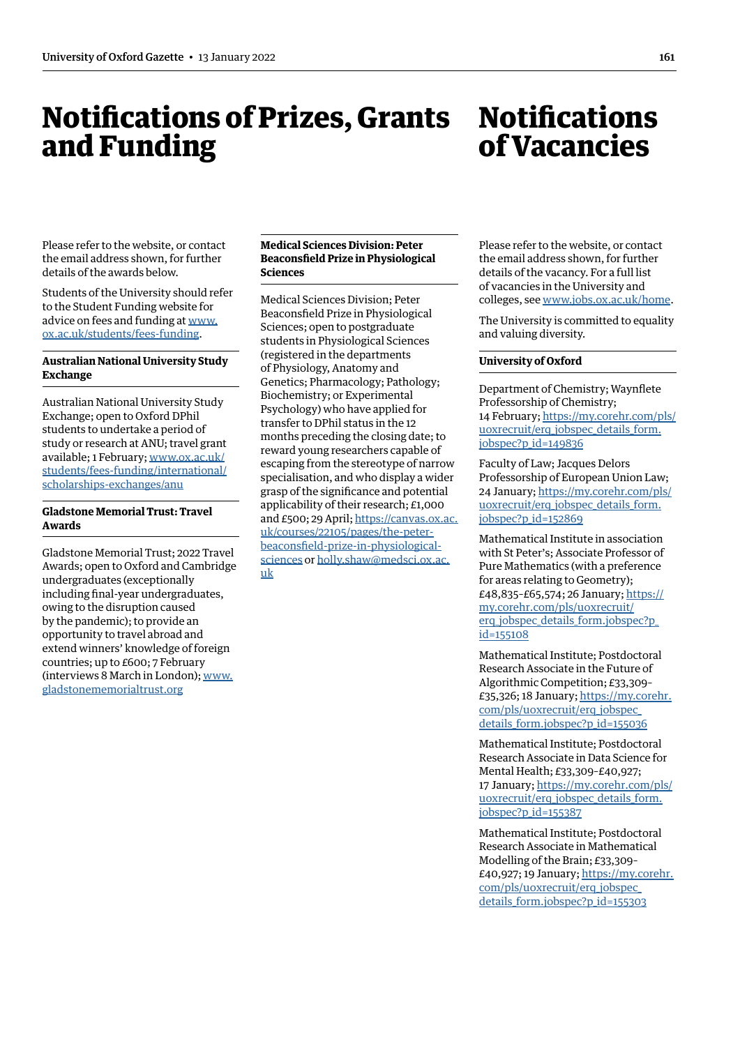# <span id="page-14-0"></span>Notifications of Prizes, Grants and Funding

# **Notifications** of Vacancies

Please refer to the website, or contact the email address shown, for further details of the awards below.

Students of the University should refer to the Student Funding website for advice on fees and funding at [www.](http://www.ox.ac.uk/students/fees-funding) [ox.ac.uk/students/fees-funding](http://www.ox.ac.uk/students/fees-funding).

# **Australian National University Study Exchange**

Australian National University Study Exchange; open to Oxford DPhil students to undertake a period of study or research at ANU; travel grant available; 1 February; [www.ox.ac.uk/](http://www.ox.ac.uk/students/fees-funding/international/scholarships-exchanges/anu) [students/fees-funding/international/](http://www.ox.ac.uk/students/fees-funding/international/scholarships-exchanges/anu) [scholarships-exchanges/anu](http://www.ox.ac.uk/students/fees-funding/international/scholarships-exchanges/anu)

# **Gladstone Memorial Trust: Travel Awards**

Gladstone Memorial Trust; 2022 Travel Awards; open to Oxford and Cambridge undergraduates (exceptionally including final-year undergraduates, owing to the disruption caused by the pandemic); to provide an opportunity to travel abroad and extend winners' knowledge of foreign countries; up to £600; 7 February (interviews 8 March in London); [www.](http://www.gladstonememorialtrust.org) [gladstonememorialtrust.org](http://www.gladstonememorialtrust.org)

# **Medical Sciences Division: Peter Beaconsfield Prize in Physiological Sciences**

Medical Sciences Division; Peter Beaconsfield Prize in Physiological Sciences; open to postgraduate students in Physiological Sciences (registered in the departments of Physiology, Anatomy and Genetics; Pharmacology; Pathology; Biochemistry; or Experimental Psychology) who have applied for transfer to DPhil status in the 12 months preceding the closing date; to reward young researchers capable of escaping from the stereotype of narrow specialisation, and who display a wider grasp of the significance and potential applicability of their research; £1,000 and £500; 29 April; [https://canvas.ox.ac.](https://canvas.ox.ac.uk/courses/22105/pages/the-peter-beaconsfield-prize-in-physiological-sciences) [uk/courses/22105/pages/the-peter](https://canvas.ox.ac.uk/courses/22105/pages/the-peter-beaconsfield-prize-in-physiological-sciences)[beaconsfield-prize-in-physiological](https://canvas.ox.ac.uk/courses/22105/pages/the-peter-beaconsfield-prize-in-physiological-sciences)[sciences](https://canvas.ox.ac.uk/courses/22105/pages/the-peter-beaconsfield-prize-in-physiological-sciences) or holly.shaw@medsci.ox.ac. uk

Please refer to the website, or contact the email address shown, for further details of the vacancy. For a full list of vacancies in the University and colleges, see [www.jobs.ox.ac.uk/home.](http://www.jobs.ox.ac.uk/home)

The University is committed to equality and valuing diversity.

# **University of Oxford**

Department of Chemistry; Waynflete Professorship of Chemistry; 14 February; [https://my.corehr.com/pls/](https://my.corehr.com/pls/uoxrecruit/erq_jobspec_details_form.jobspec?p_id=149836) [uoxrecruit/erq\\_jobspec\\_details\\_form.](https://my.corehr.com/pls/uoxrecruit/erq_jobspec_details_form.jobspec?p_id=149836) [jobspec?p\\_id=149836](https://my.corehr.com/pls/uoxrecruit/erq_jobspec_details_form.jobspec?p_id=149836)

Faculty of Law; Jacques Delors Professorship of European Union Law; 24 January; [https://my.corehr.com/pls/](https://my.corehr.com/pls/uoxrecruit/erq_jobspec_details_form.jobspec?p_id=152869) [uoxrecruit/erq\\_jobspec\\_details\\_form.](https://my.corehr.com/pls/uoxrecruit/erq_jobspec_details_form.jobspec?p_id=152869) [jobspec?p\\_id=152869](https://my.corehr.com/pls/uoxrecruit/erq_jobspec_details_form.jobspec?p_id=152869)

Mathematical Institute in association with St Peter's; Associate Professor of Pure Mathematics (with a preference for areas relating to Geometry); £48,835–£65,574; 26 January; [https://](https://my.corehr.com/pls/uoxrecruit/erq_jobspec_details_form.jobspec?p_id=155108) [my.corehr.com/pls/uoxrecruit/](https://my.corehr.com/pls/uoxrecruit/erq_jobspec_details_form.jobspec?p_id=155108) [erq\\_jobspec\\_details\\_form.jobspec?p\\_](https://my.corehr.com/pls/uoxrecruit/erq_jobspec_details_form.jobspec?p_id=155108) [id=155108](https://my.corehr.com/pls/uoxrecruit/erq_jobspec_details_form.jobspec?p_id=155108)

Mathematical Institute; Postdoctoral Research Associate in the Future of Algorithmic Competition; £33,309– £35,326; 18 January; [https://my.corehr.](https://my.corehr.com/pls/uoxrecruit/erq_jobspec_details_form.jobspec?p_id=155036) [com/pls/uoxrecruit/erq\\_jobspec\\_](https://my.corehr.com/pls/uoxrecruit/erq_jobspec_details_form.jobspec?p_id=155036) [details\\_form.jobspec?p\\_id=155036](https://my.corehr.com/pls/uoxrecruit/erq_jobspec_details_form.jobspec?p_id=155036)

Mathematical Institute; Postdoctoral Research Associate in Data Science for Mental Health; £33,309–£40,927; 17 January; [https://my.corehr.com/pls/](https://my.corehr.com/pls/uoxrecruit/erq_jobspec_details_form.jobspec?p_id=155387) [uoxrecruit/erq\\_jobspec\\_details\\_form.](https://my.corehr.com/pls/uoxrecruit/erq_jobspec_details_form.jobspec?p_id=155387) [jobspec?p\\_id=155387](https://my.corehr.com/pls/uoxrecruit/erq_jobspec_details_form.jobspec?p_id=155387)

Mathematical Institute; Postdoctoral Research Associate in Mathematical Modelling of the Brain; £33,309– £40,927; 19 January; [https://my.corehr.](https://my.corehr.com/pls/uoxrecruit/erq_jobspec_details_form.jobspec?p_id=155303) [com/pls/uoxrecruit/erq\\_jobspec\\_](https://my.corehr.com/pls/uoxrecruit/erq_jobspec_details_form.jobspec?p_id=155303) [details\\_form.jobspec?p\\_id=155303](https://my.corehr.com/pls/uoxrecruit/erq_jobspec_details_form.jobspec?p_id=155303)